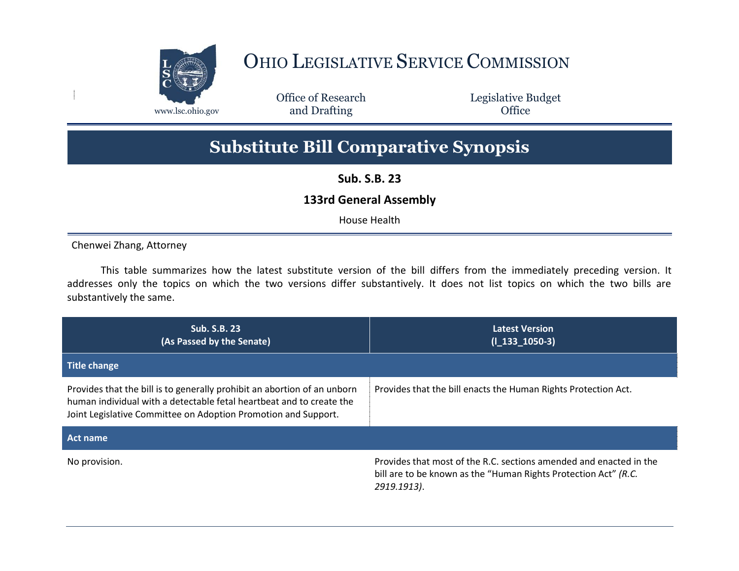

## OHIO LEGISLATIVE SERVICE COMMISSION

Office of Research www.lsc.ohio.gov and Drafting Control of Control of the Control of Control of the Control of Control of the Control of the Control of the Control of the Control of the Control of the Control of the Control of the Control o

Legislative Budget

## **Substitute Bill Comparative Synopsis**

**Sub. S.B. 23**

## **133rd General Assembly**

House Health

Chenwei Zhang, Attorney

This table summarizes how the latest substitute version of the bill differs from the immediately preceding version. It addresses only the topics on which the two versions differ substantively. It does not list topics on which the two bills are substantively the same.

| <b>Sub. S.B. 23</b><br>(As Passed by the Senate)                                                                                                                                                                   | <b>Latest Version</b><br>$(I_133_1050-3)$                                                                                                            |
|--------------------------------------------------------------------------------------------------------------------------------------------------------------------------------------------------------------------|------------------------------------------------------------------------------------------------------------------------------------------------------|
| <b>Title change</b>                                                                                                                                                                                                |                                                                                                                                                      |
| Provides that the bill is to generally prohibit an abortion of an unborn<br>human individual with a detectable fetal heartbeat and to create the<br>Joint Legislative Committee on Adoption Promotion and Support. | Provides that the bill enacts the Human Rights Protection Act.                                                                                       |
| Act name                                                                                                                                                                                                           |                                                                                                                                                      |
| No provision.                                                                                                                                                                                                      | Provides that most of the R.C. sections amended and enacted in the<br>bill are to be known as the "Human Rights Protection Act" (R.C.<br>2919.1913). |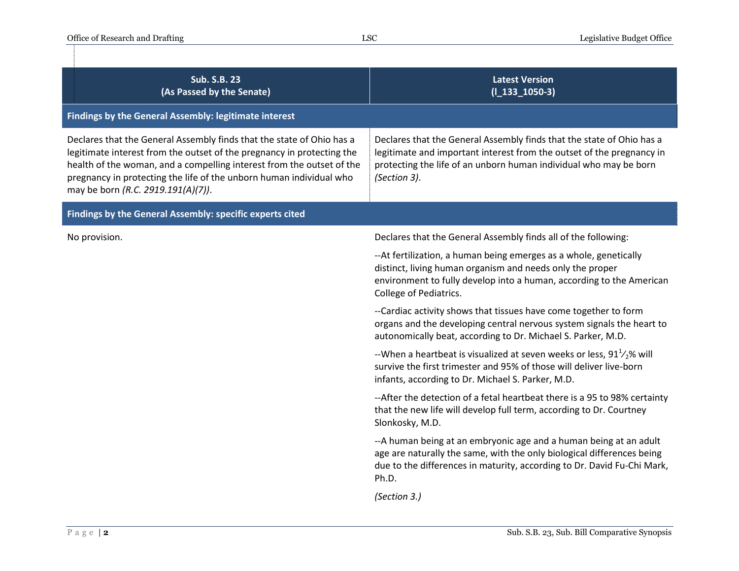| <b>Sub. S.B. 23</b><br>(As Passed by the Senate)                                                                                                                                                                                                                                                                                      | <b>Latest Version</b><br>$(I_133_1050-3)$                                                                                                                                                                                           |
|---------------------------------------------------------------------------------------------------------------------------------------------------------------------------------------------------------------------------------------------------------------------------------------------------------------------------------------|-------------------------------------------------------------------------------------------------------------------------------------------------------------------------------------------------------------------------------------|
| Findings by the General Assembly: legitimate interest                                                                                                                                                                                                                                                                                 |                                                                                                                                                                                                                                     |
| Declares that the General Assembly finds that the state of Ohio has a<br>legitimate interest from the outset of the pregnancy in protecting the<br>health of the woman, and a compelling interest from the outset of the<br>pregnancy in protecting the life of the unborn human individual who<br>may be born (R.C. 2919.191(A)(7)). | Declares that the General Assembly finds that the state of Ohio has a<br>legitimate and important interest from the outset of the pregnancy in<br>protecting the life of an unborn human individual who may be born<br>(Section 3). |
| Findings by the General Assembly: specific experts cited                                                                                                                                                                                                                                                                              |                                                                                                                                                                                                                                     |
| No provision.                                                                                                                                                                                                                                                                                                                         | Declares that the General Assembly finds all of the following:                                                                                                                                                                      |
|                                                                                                                                                                                                                                                                                                                                       | --At fertilization, a human being emerges as a whole, genetically<br>distinct, living human organism and needs only the proper<br>environment to fully develop into a human, according to the American<br>College of Pediatrics.    |
|                                                                                                                                                                                                                                                                                                                                       | --Cardiac activity shows that tissues have come together to form<br>organs and the developing central nervous system signals the heart to<br>autonomically beat, according to Dr. Michael S. Parker, M.D.                           |
|                                                                                                                                                                                                                                                                                                                                       | --When a heartbeat is visualized at seven weeks or less, $911/2$ % will<br>survive the first trimester and 95% of those will deliver live-born<br>infants, according to Dr. Michael S. Parker, M.D.                                 |
|                                                                                                                                                                                                                                                                                                                                       | --After the detection of a fetal heartbeat there is a 95 to 98% certainty<br>that the new life will develop full term, according to Dr. Courtney<br>Slonkosky, M.D.                                                                 |
|                                                                                                                                                                                                                                                                                                                                       | --A human being at an embryonic age and a human being at an adult<br>age are naturally the same, with the only biological differences being<br>due to the differences in maturity, according to Dr. David Fu-Chi Mark,<br>Ph.D.     |
|                                                                                                                                                                                                                                                                                                                                       | (Section 3.)                                                                                                                                                                                                                        |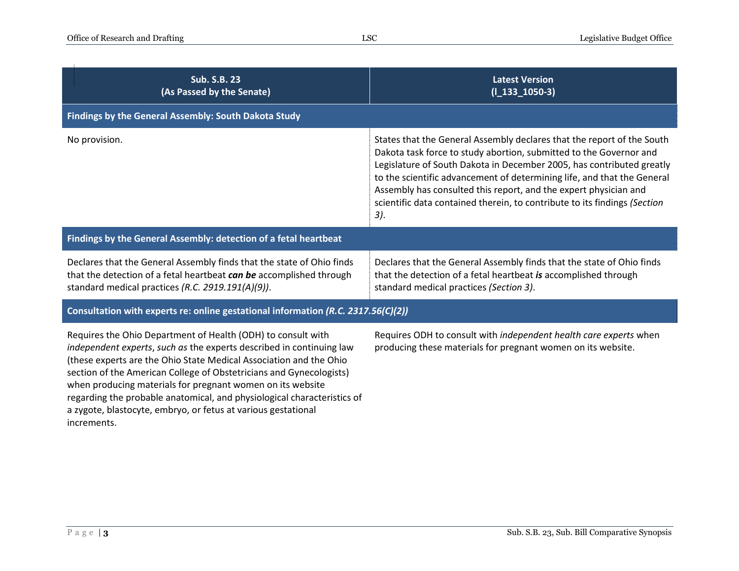| <b>Sub. S.B. 23</b><br>(As Passed by the Senate)                                                                                                                                                                                                                                                                                                                                                                                                                                            | <b>Latest Version</b><br>$(I_133_1050-3)$                                                                                                                                                                                                                                                                                                                                                                                                                  |
|---------------------------------------------------------------------------------------------------------------------------------------------------------------------------------------------------------------------------------------------------------------------------------------------------------------------------------------------------------------------------------------------------------------------------------------------------------------------------------------------|------------------------------------------------------------------------------------------------------------------------------------------------------------------------------------------------------------------------------------------------------------------------------------------------------------------------------------------------------------------------------------------------------------------------------------------------------------|
| Findings by the General Assembly: South Dakota Study                                                                                                                                                                                                                                                                                                                                                                                                                                        |                                                                                                                                                                                                                                                                                                                                                                                                                                                            |
| No provision.                                                                                                                                                                                                                                                                                                                                                                                                                                                                               | States that the General Assembly declares that the report of the South<br>Dakota task force to study abortion, submitted to the Governor and<br>Legislature of South Dakota in December 2005, has contributed greatly<br>to the scientific advancement of determining life, and that the General<br>Assembly has consulted this report, and the expert physician and<br>scientific data contained therein, to contribute to its findings (Section<br>$3$ . |
| Findings by the General Assembly: detection of a fetal heartbeat                                                                                                                                                                                                                                                                                                                                                                                                                            |                                                                                                                                                                                                                                                                                                                                                                                                                                                            |
| Declares that the General Assembly finds that the state of Ohio finds<br>that the detection of a fetal heartbeat can be accomplished through<br>standard medical practices (R.C. 2919.191(A)(9)).                                                                                                                                                                                                                                                                                           | Declares that the General Assembly finds that the state of Ohio finds<br>that the detection of a fetal heartbeat is accomplished through<br>standard medical practices (Section 3).                                                                                                                                                                                                                                                                        |
| Consultation with experts re: online gestational information (R.C. 2317.56(C)(2))                                                                                                                                                                                                                                                                                                                                                                                                           |                                                                                                                                                                                                                                                                                                                                                                                                                                                            |
| Requires the Ohio Department of Health (ODH) to consult with<br>independent experts, such as the experts described in continuing law<br>(these experts are the Ohio State Medical Association and the Ohio<br>section of the American College of Obstetricians and Gynecologists)<br>when producing materials for pregnant women on its website<br>regarding the probable anatomical, and physiological characteristics of<br>a zygote, blastocyte, embryo, or fetus at various gestational | Requires ODH to consult with independent health care experts when<br>producing these materials for pregnant women on its website.                                                                                                                                                                                                                                                                                                                          |

increments.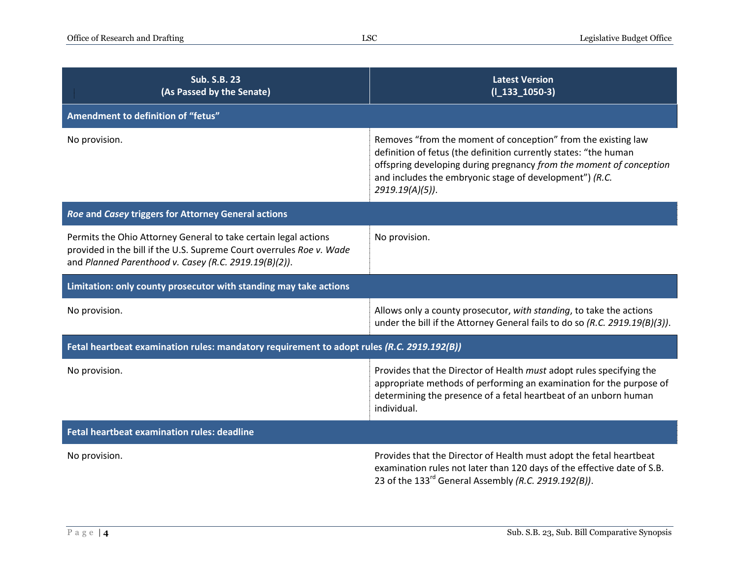| <b>Sub. S.B. 23</b><br>(As Passed by the Senate)                                                                                                                                                 | <b>Latest Version</b><br>$(I_133_1050-3)$                                                                                                                                                                                                                                                 |
|--------------------------------------------------------------------------------------------------------------------------------------------------------------------------------------------------|-------------------------------------------------------------------------------------------------------------------------------------------------------------------------------------------------------------------------------------------------------------------------------------------|
| Amendment to definition of "fetus"                                                                                                                                                               |                                                                                                                                                                                                                                                                                           |
| No provision.                                                                                                                                                                                    | Removes "from the moment of conception" from the existing law<br>definition of fetus (the definition currently states: "the human<br>offspring developing during pregnancy from the moment of conception<br>and includes the embryonic stage of development") (R.C.<br>$2919.19(A)(5)$ ). |
| Roe and Casey triggers for Attorney General actions                                                                                                                                              |                                                                                                                                                                                                                                                                                           |
| Permits the Ohio Attorney General to take certain legal actions<br>provided in the bill if the U.S. Supreme Court overrules Roe v. Wade<br>and Planned Parenthood v. Casey (R.C. 2919.19(B)(2)). | No provision.                                                                                                                                                                                                                                                                             |
| Limitation: only county prosecutor with standing may take actions                                                                                                                                |                                                                                                                                                                                                                                                                                           |
| No provision.                                                                                                                                                                                    | Allows only a county prosecutor, with standing, to take the actions<br>under the bill if the Attorney General fails to do so (R.C. 2919.19(B)(3)).                                                                                                                                        |
| Fetal heartbeat examination rules: mandatory requirement to adopt rules (R.C. 2919.192(B))                                                                                                       |                                                                                                                                                                                                                                                                                           |
| No provision.                                                                                                                                                                                    | Provides that the Director of Health must adopt rules specifying the<br>appropriate methods of performing an examination for the purpose of<br>determining the presence of a fetal heartbeat of an unborn human<br>individual.                                                            |
| Fetal heartbeat examination rules: deadline                                                                                                                                                      |                                                                                                                                                                                                                                                                                           |
| No provision.                                                                                                                                                                                    | Provides that the Director of Health must adopt the fetal heartbeat<br>examination rules not later than 120 days of the effective date of S.B.<br>23 of the $133^{rd}$ General Assembly (R.C. 2919.192(B)).                                                                               |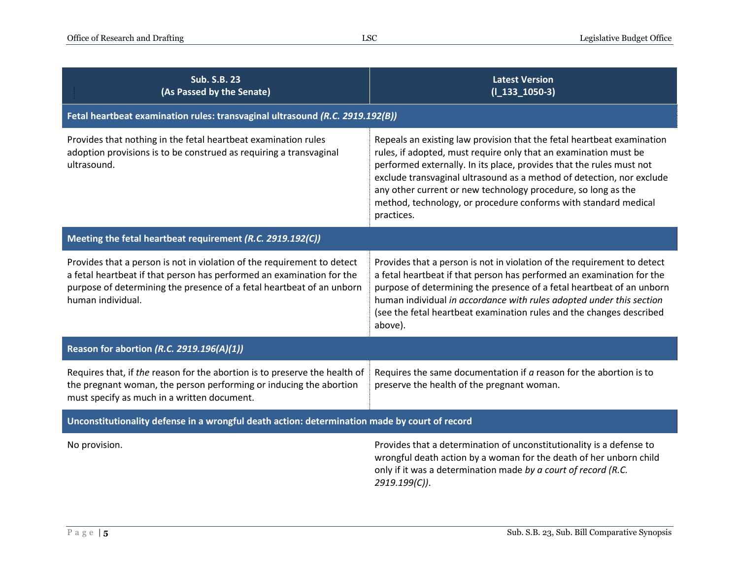| <b>Sub. S.B. 23</b><br>(As Passed by the Senate)                                                                                                                                                                                               | <b>Latest Version</b><br>$(I_133_1050-3)$                                                                                                                                                                                                                                                                                                                                                                                                     |  |
|------------------------------------------------------------------------------------------------------------------------------------------------------------------------------------------------------------------------------------------------|-----------------------------------------------------------------------------------------------------------------------------------------------------------------------------------------------------------------------------------------------------------------------------------------------------------------------------------------------------------------------------------------------------------------------------------------------|--|
| Fetal heartbeat examination rules: transvaginal ultrasound (R.C. 2919.192(B))                                                                                                                                                                  |                                                                                                                                                                                                                                                                                                                                                                                                                                               |  |
| Provides that nothing in the fetal heartbeat examination rules<br>adoption provisions is to be construed as requiring a transvaginal<br>ultrasound.                                                                                            | Repeals an existing law provision that the fetal heartbeat examination<br>rules, if adopted, must require only that an examination must be<br>performed externally. In its place, provides that the rules must not<br>exclude transvaginal ultrasound as a method of detection, nor exclude<br>any other current or new technology procedure, so long as the<br>method, technology, or procedure conforms with standard medical<br>practices. |  |
| Meeting the fetal heartbeat requirement (R.C. 2919.192(C))                                                                                                                                                                                     |                                                                                                                                                                                                                                                                                                                                                                                                                                               |  |
| Provides that a person is not in violation of the requirement to detect<br>a fetal heartbeat if that person has performed an examination for the<br>purpose of determining the presence of a fetal heartbeat of an unborn<br>human individual. | Provides that a person is not in violation of the requirement to detect<br>a fetal heartbeat if that person has performed an examination for the<br>purpose of determining the presence of a fetal heartbeat of an unborn<br>human individual in accordance with rules adopted under this section<br>(see the fetal heartbeat examination rules and the changes described<br>above).                                                          |  |
| Reason for abortion (R.C. 2919.196(A)(1))                                                                                                                                                                                                      |                                                                                                                                                                                                                                                                                                                                                                                                                                               |  |
| Requires that, if the reason for the abortion is to preserve the health of<br>the pregnant woman, the person performing or inducing the abortion<br>must specify as much in a written document.                                                | Requires the same documentation if $a$ reason for the abortion is to<br>preserve the health of the pregnant woman.                                                                                                                                                                                                                                                                                                                            |  |
| Unconstitutionality defense in a wrongful death action: determination made by court of record                                                                                                                                                  |                                                                                                                                                                                                                                                                                                                                                                                                                                               |  |
| No provision.                                                                                                                                                                                                                                  | Provides that a determination of unconstitutionality is a defense to<br>wrongful death action by a woman for the death of her unborn child<br>only if it was a determination made by a court of record (R.C.<br>2919.199(C)).                                                                                                                                                                                                                 |  |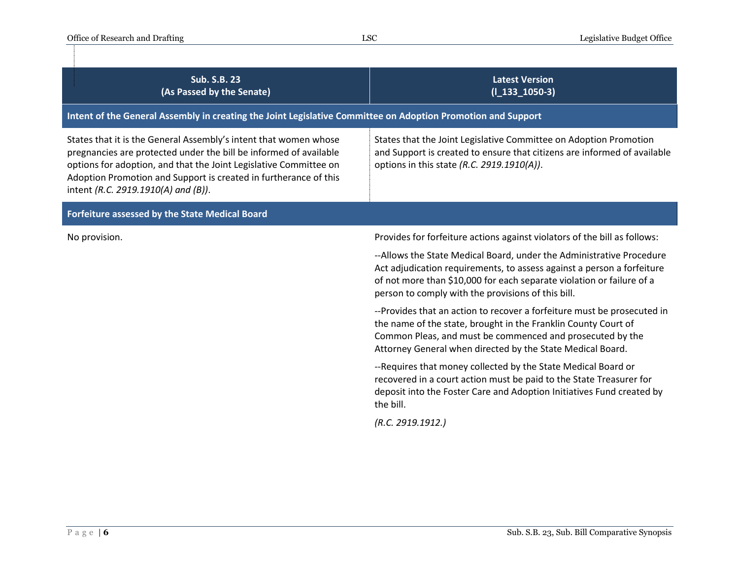| <b>Sub. S.B. 23</b><br>(As Passed by the Senate)                                                                                                                                                                                                                                                                      | <b>Latest Version</b><br>$(I_133_1050-3)$                                                                                                                                                                                                                                     |  |
|-----------------------------------------------------------------------------------------------------------------------------------------------------------------------------------------------------------------------------------------------------------------------------------------------------------------------|-------------------------------------------------------------------------------------------------------------------------------------------------------------------------------------------------------------------------------------------------------------------------------|--|
| Intent of the General Assembly in creating the Joint Legislative Committee on Adoption Promotion and Support                                                                                                                                                                                                          |                                                                                                                                                                                                                                                                               |  |
| States that it is the General Assembly's intent that women whose<br>pregnancies are protected under the bill be informed of available<br>options for adoption, and that the Joint Legislative Committee on<br>Adoption Promotion and Support is created in furtherance of this<br>intent (R.C. 2919.1910(A) and (B)). | States that the Joint Legislative Committee on Adoption Promotion<br>and Support is created to ensure that citizens are informed of available<br>options in this state (R.C. 2919.1910(A)).                                                                                   |  |
| Forfeiture assessed by the State Medical Board                                                                                                                                                                                                                                                                        |                                                                                                                                                                                                                                                                               |  |
| No provision.                                                                                                                                                                                                                                                                                                         | Provides for forfeiture actions against violators of the bill as follows:                                                                                                                                                                                                     |  |
|                                                                                                                                                                                                                                                                                                                       | --Allows the State Medical Board, under the Administrative Procedure<br>Act adjudication requirements, to assess against a person a forfeiture<br>of not more than \$10,000 for each separate violation or failure of a<br>person to comply with the provisions of this bill. |  |
|                                                                                                                                                                                                                                                                                                                       | --Provides that an action to recover a forfeiture must be prosecuted in<br>the name of the state, brought in the Franklin County Court of<br>Common Pleas, and must be commenced and prosecuted by the<br>Attorney General when directed by the State Medical Board.          |  |
|                                                                                                                                                                                                                                                                                                                       | --Requires that money collected by the State Medical Board or<br>recovered in a court action must be paid to the State Treasurer for<br>deposit into the Foster Care and Adoption Initiatives Fund created by<br>the bill.                                                    |  |
|                                                                                                                                                                                                                                                                                                                       | (R.C. 2919.1912.)                                                                                                                                                                                                                                                             |  |